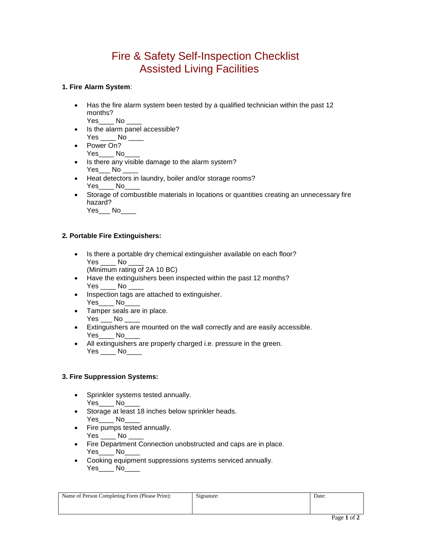# Fire & Safety Self-Inspection Checklist Assisted Living Facilities

### **1. Fire Alarm System**:

 Has the fire alarm system been tested by a qualified technician within the past 12 months?

Yes\_\_\_\_ No \_\_

- Is the alarm panel accessible? Yes No
- Power On? Yes\_\_\_\_ No\_
- Is there any visible damage to the alarm system?  $Yes$   $No$
- Heat detectors in laundry, boiler and/or storage rooms? Yes\_\_\_\_ No\_
- Storage of combustible materials in locations or quantities creating an unnecessary fire hazard?

Yes\_\_\_ No

### **2. Portable Fire Extinguishers:**

- Is there a portable dry chemical extinguisher available on each floor? Yes No (Minimum rating of 2A 10 BC)
- Have the extinguishers been inspected within the past 12 months? Yes No
- Inspection tags are attached to extinguisher. Yes\_\_\_\_ No\_
- Tamper seals are in place. Yes No
- Extinguishers are mounted on the wall correctly and are easily accessible. Yes No
- All extinguishers are properly charged i.e. pressure in the green. Yes \_\_\_\_ No\_\_\_\_

### **3. Fire Suppression Systems:**

- Sprinkler systems tested annually. Yes\_\_\_\_ No
- Storage at least 18 inches below sprinkler heads. Yes\_\_\_\_ No\_
- Fire pumps tested annually.  $Yes$  No
- **Fire Department Connection unobstructed and caps are in place.** Yes\_\_\_\_ No\_
- Cooking equipment suppressions systems serviced annually. Yes\_\_\_\_ No\_\_\_

| Name of Person Completing Form (Please Print): | Signature: | Date: |
|------------------------------------------------|------------|-------|
|                                                |            |       |